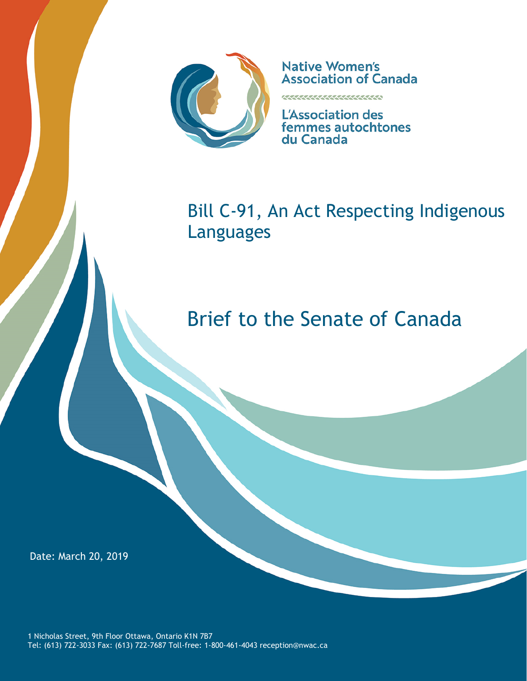

**Native Women's Association of Canada** 

<u>KAAMMAMAANAAN</u>

**L'Association des** femmes autochtones du Canada

Bill C-91, An Act Respecting Indigenous Languages

# Brief to the Senate of Canada

Date: March 20, 2019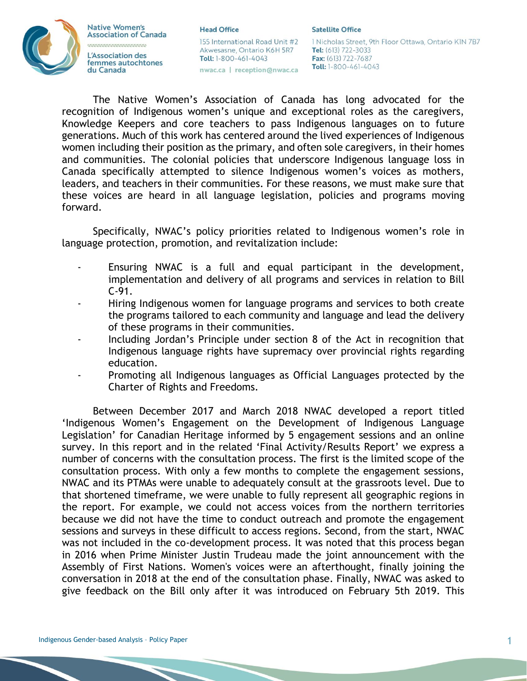## **Native Women's Association of Canada** L'Association des femmes autochtones du Canada

**Head Office** 

## 155 International Road Unit #2 Akwesasne, Ontario K6H 5R7 Toll: 1-800-461-4043

nwac.ca | reception@nwac.ca

#### **Satellite Office**

1 Nicholas Street, 9th Floor Ottawa, Ontario KIN 7B7 Tel: (613) 722-3033 Fax: (613) 722-7687 Toll: 1-800-461-4043

The Native Women's Association of Canada has long advocated for the recognition of Indigenous women's unique and exceptional roles as the caregivers, Knowledge Keepers and core teachers to pass Indigenous languages on to future generations. Much of this work has centered around the lived experiences of Indigenous women including their position as the primary, and often sole caregivers, in their homes and communities. The colonial policies that underscore Indigenous language loss in Canada specifically attempted to silence Indigenous women's voices as mothers, leaders, and teachers in their communities. For these reasons, we must make sure that these voices are heard in all language legislation, policies and programs moving forward.

Specifically, NWAC's policy priorities related to Indigenous women's role in language protection, promotion, and revitalization include:

- Ensuring NWAC is a full and equal participant in the development, implementation and delivery of all programs and services in relation to Bill  $C-91.$
- Hiring Indigenous women for language programs and services to both create the programs tailored to each community and language and lead the delivery of these programs in their communities.
- Including Jordan's Principle under section 8 of the Act in recognition that Indigenous language rights have supremacy over provincial rights regarding education.
- Promoting all Indigenous languages as Official Languages protected by the Charter of Rights and Freedoms.

Between December 2017 and March 2018 NWAC developed a report titled 'Indigenous Women's Engagement on the Development of Indigenous Language Legislation' for Canadian Heritage informed by 5 engagement sessions and an online survey. In this report and in the related 'Final Activity/Results Report' we express a number of concerns with the consultation process. The first is the limited scope of the consultation process. With only a few months to complete the engagement sessions, NWAC and its PTMAs were unable to adequately consult at the grassroots level. Due to that shortened timeframe, we were unable to fully represent all geographic regions in the report. For example, we could not access voices from the northern territories because we did not have the time to conduct outreach and promote the engagement sessions and surveys in these difficult to access regions. Second, from the start, NWAC was not included in the co-development process. It was noted that this process began in 2016 when Prime Minister Justin Trudeau made the joint announcement with the Assembly of First Nations. Women's voices were an afterthought, finally joining the conversation in 2018 at the end of the consultation phase. Finally, NWAC was asked to give feedback on the Bill only after it was introduced on February 5th 2019. This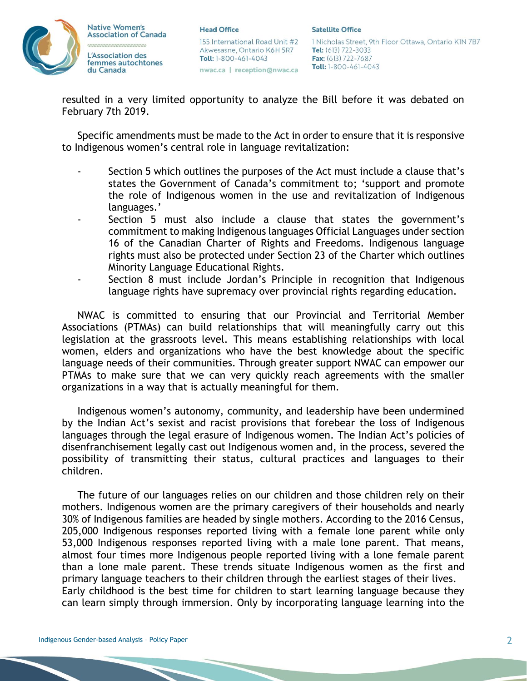

**Head Office** 

155 International Road Unit #2 Akwesasne, Ontario K6H 5R7 Toll: 1-800-461-4043 nwac.ca | reception@nwac.ca

1 Nicholas Street, 9th Floor Ottawa, Ontario KIN 7B7 Tel: (613) 722-3033 Fax: (613) 722-7687 Toll: 1-800-461-4043

resulted in a very limited opportunity to analyze the Bill before it was debated on February 7th 2019.

Specific amendments must be made to the Act in order to ensure that it is responsive to Indigenous women's central role in language revitalization:

- Section 5 which outlines the purposes of the Act must include a clause that's states the Government of Canada's commitment to; 'support and promote the role of Indigenous women in the use and revitalization of Indigenous languages.'
- Section 5 must also include a clause that states the government's commitment to making Indigenous languages Official Languages under section 16 of the Canadian Charter of Rights and Freedoms. Indigenous language rights must also be protected under Section 23 of the Charter which outlines Minority Language Educational Rights.
- Section 8 must include Jordan's Principle in recognition that Indigenous language rights have supremacy over provincial rights regarding education.

NWAC is committed to ensuring that our Provincial and Territorial Member Associations (PTMAs) can build relationships that will meaningfully carry out this legislation at the grassroots level. This means establishing relationships with local women, elders and organizations who have the best knowledge about the specific language needs of their communities. Through greater support NWAC can empower our PTMAs to make sure that we can very quickly reach agreements with the smaller organizations in a way that is actually meaningful for them.

Indigenous women's autonomy, community, and leadership have been undermined by the Indian Act's sexist and racist provisions that forebear the loss of Indigenous languages through the legal erasure of Indigenous women. The Indian Act's policies of disenfranchisement legally cast out Indigenous women and, in the process, severed the possibility of transmitting their status, cultural practices and languages to their children.

The future of our languages relies on our children and those children rely on their mothers. Indigenous women are the primary caregivers of their households and nearly 30% of Indigenous families are headed by single mothers. According to the 2016 Census, 205,000 Indigenous responses reported living with a female lone parent while only 53,000 Indigenous responses reported living with a male lone parent. That means, almost four times more Indigenous people reported living with a lone female parent than a lone male parent. These trends situate Indigenous women as the first and primary language teachers to their children through the earliest stages of their lives. Early childhood is the best time for children to start learning language because they can learn simply through immersion. Only by incorporating language learning into the